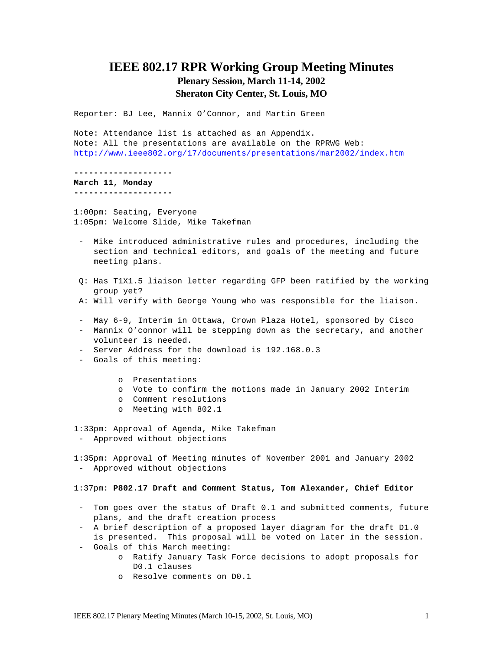# **IEEE 802.17 RPR Working Group Meeting Minutes Plenary Session, March 11-14, 2002 Sheraton City Center, St. Louis, MO**

Reporter: BJ Lee, Mannix O'Connor, and Martin Green

Note: Attendance list is attached as an Appendix. Note: All the presentations are available on the RPRWG Web: http://www.ieee802.org/17/documents/presentations/mar2002/index.htm

**--------------------**

**March 11, Monday --------------------**

1:00pm: Seating, Everyone 1:05pm: Welcome Slide, Mike Takefman

- Mike introduced administrative rules and procedures, including the section and technical editors, and goals of the meeting and future meeting plans.
- Q: Has T1X1.5 liaison letter regarding GFP been ratified by the working group yet?
- A: Will verify with George Young who was responsible for the liaison.
- May 6-9, Interim in Ottawa, Crown Plaza Hotel, sponsored by Cisco
- Mannix O'connor will be stepping down as the secretary, and another volunteer is needed.
- Server Address for the download is 192.168.0.3
- Goals of this meeting:
	- o Presentations
	- o Vote to confirm the motions made in January 2002 Interim
	- o Comment resolutions
	- o Meeting with 802.1
- 1:33pm: Approval of Agenda, Mike Takefman - Approved without objections

1:35pm: Approval of Meeting minutes of November 2001 and January 2002 - Approved without objections

#### 1:37pm: **P802.17 Draft and Comment Status, Tom Alexander, Chief Editor**

- Tom goes over the status of Draft 0.1 and submitted comments, future plans, and the draft creation process
- A brief description of a proposed layer diagram for the draft D1.0 is presented. This proposal will be voted on later in the session.
- Goals of this March meeting:
	- o Ratify January Task Force decisions to adopt proposals for D0.1 clauses
	- o Resolve comments on D0.1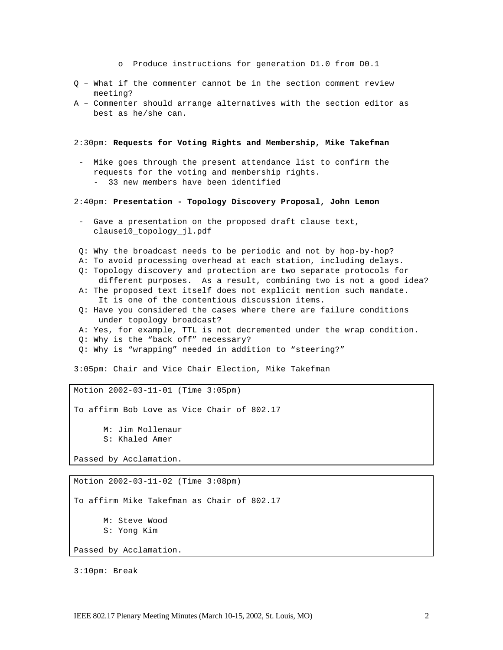o Produce instructions for generation D1.0 from D0.1

- Q What if the commenter cannot be in the section comment review meeting?
- A Commenter should arrange alternatives with the section editor as best as he/she can.

2:30pm: **Requests for Voting Rights and Membership, Mike Takefman**

- Mike goes through the present attendance list to confirm the requests for the voting and membership rights. - 33 new members have been identified

2:40pm: **Presentation - Topology Discovery Proposal, John Lemon**

- Gave a presentation on the proposed draft clause text, clause10\_topology\_jl.pdf
- Q: Why the broadcast needs to be periodic and not by hop-by-hop?
- A: To avoid processing overhead at each station, including delays.
- Q: Topology discovery and protection are two separate protocols for different purposes. As a result, combining two is not a good idea?
- A: The proposed text itself does not explicit mention such mandate. It is one of the contentious discussion items.
- Q: Have you considered the cases where there are failure conditions under topology broadcast?
- A: Yes, for example, TTL is not decremented under the wrap condition.
- Q: Why is the "back off" necessary?
- Q: Why is "wrapping" needed in addition to "steering?"

3:05pm: Chair and Vice Chair Election, Mike Takefman

Motion 2002-03-11-01 (Time 3:05pm)

To affirm Bob Love as Vice Chair of 802.17

M: Jim Mollenaur S: Khaled Amer

Passed by Acclamation.

Motion 2002-03-11-02 (Time 3:08pm)

To affirm Mike Takefman as Chair of 802.17

M: Steve Wood

S: Yong Kim

Passed by Acclamation.

3:10pm: Break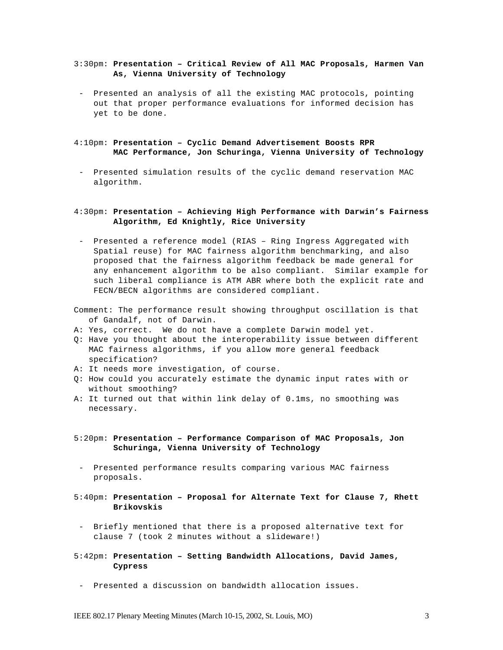#### 3:30pm: **Presentation – Critical Review of All MAC Proposals, Harmen Van As, Vienna University of Technology**

- Presented an analysis of all the existing MAC protocols, pointing out that proper performance evaluations for informed decision has yet to be done.
- 4:10pm: **Presentation Cyclic Demand Advertisement Boosts RPR MAC Performance, Jon Schuringa, Vienna University of Technology**
- Presented simulation results of the cyclic demand reservation MAC algorithm.

### 4:30pm: **Presentation – Achieving High Performance with Darwin's Fairness Algorithm, Ed Knightly, Rice University**

- Presented a reference model (RIAS Ring Ingress Aggregated with Spatial reuse) for MAC fairness algorithm benchmarking, and also proposed that the fairness algorithm feedback be made general for any enhancement algorithm to be also compliant. Similar example for such liberal compliance is ATM ABR where both the explicit rate and FECN/BECN algorithms are considered compliant.
- Comment: The performance result showing throughput oscillation is that of Gandalf, not of Darwin.
- A: Yes, correct. We do not have a complete Darwin model yet.
- Q: Have you thought about the interoperability issue between different MAC fairness algorithms, if you allow more general feedback specification?
- A: It needs more investigation, of course.
- Q: How could you accurately estimate the dynamic input rates with or without smoothing?
- A: It turned out that within link delay of 0.1ms, no smoothing was necessary.
- 5:20pm: **Presentation Performance Comparison of MAC Proposals, Jon Schuringa, Vienna University of Technology**
- Presented performance results comparing various MAC fairness proposals.
- 5:40pm: **Presentation Proposal for Alternate Text for Clause 7, Rhett Brikovskis**
- Briefly mentioned that there is a proposed alternative text for clause 7 (took 2 minutes without a slideware!)
- 5:42pm: **Presentation Setting Bandwidth Allocations, David James, Cypress**
- Presented a discussion on bandwidth allocation issues.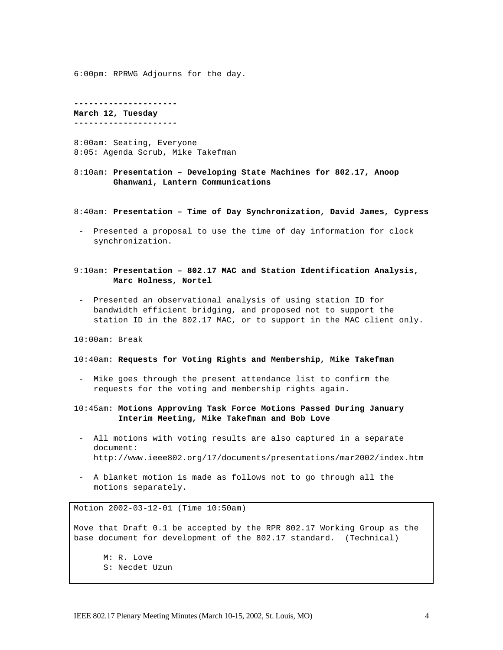6:00pm: RPRWG Adjourns for the day.

**--------------------- March 12, Tuesday ---------------------**

8:00am: Seating, Everyone 8:05: Agenda Scrub, Mike Takefman

8:10am: **Presentation – Developing State Machines for 802.17, Anoop Ghanwani, Lantern Communications**

8:40am: **Presentation – Time of Day Synchronization, David James, Cypress**

- Presented a proposal to use the time of day information for clock synchronization.

#### 9:10am**: Presentation – 802.17 MAC and Station Identification Analysis, Marc Holness, Nortel**

- Presented an observational analysis of using station ID for bandwidth efficient bridging, and proposed not to support the station ID in the 802.17 MAC, or to support in the MAC client only.

10:00am: Break

#### 10:40am: **Requests for Voting Rights and Membership, Mike Takefman**

- Mike goes through the present attendance list to confirm the requests for the voting and membership rights again.

#### 10:45am: **Motions Approving Task Force Motions Passed During January Interim Meeting, Mike Takefman and Bob Love**

- All motions with voting results are also captured in a separate document: http://www.ieee802.org/17/documents/presentations/mar2002/index.htm
- A blanket motion is made as follows not to go through all the motions separately.

Motion 2002-03-12-01 (Time 10:50am)

Move that Draft 0.1 be accepted by the RPR 802.17 Working Group as the base document for development of the 802.17 standard. (Technical)

M: R. Love S: Necdet Uzun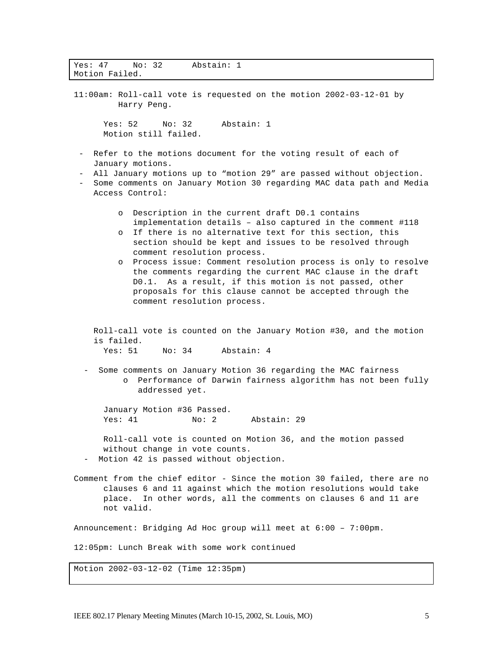| Yes: 47<br>No: 32<br>Abstain: 1<br>Motion Failed.                                                                                                                                                                                                                                                                                                                                                                                                                                                                                                                               |  |  |  |
|---------------------------------------------------------------------------------------------------------------------------------------------------------------------------------------------------------------------------------------------------------------------------------------------------------------------------------------------------------------------------------------------------------------------------------------------------------------------------------------------------------------------------------------------------------------------------------|--|--|--|
| 11:00am: Roll-call vote is requested on the motion 2002-03-12-01 by<br>Harry Peng.                                                                                                                                                                                                                                                                                                                                                                                                                                                                                              |  |  |  |
| Abstain: 1<br>Yes: 52<br>No: 32<br>Motion still failed.                                                                                                                                                                                                                                                                                                                                                                                                                                                                                                                         |  |  |  |
| Refer to the motions document for the voting result of each of<br>January motions.                                                                                                                                                                                                                                                                                                                                                                                                                                                                                              |  |  |  |
| All January motions up to "motion 29" are passed without objection.<br>Some comments on January Motion 30 regarding MAC data path and Media<br>Access Control:                                                                                                                                                                                                                                                                                                                                                                                                                  |  |  |  |
| Description in the current draft D0.1 contains<br>$\circ$<br>implementation details - also captured in the comment #118<br>If there is no alternative text for this section, this<br>O<br>section should be kept and issues to be resolved through<br>comment resolution process.<br>Process issue: Comment resolution process is only to resolve<br>$\circ$<br>the comments regarding the current MAC clause in the draft<br>D0.1. As a result, if this motion is not passed, other<br>proposals for this clause cannot be accepted through the<br>comment resolution process. |  |  |  |
| Roll-call vote is counted on the January Motion #30, and the motion<br>is failed.<br>Abstain: 4<br>Yes: 51<br>No: 34                                                                                                                                                                                                                                                                                                                                                                                                                                                            |  |  |  |
| Some comments on January Motion 36 regarding the MAC fairness<br>Performance of Darwin fairness algorithm has not been fully<br>addressed yet.                                                                                                                                                                                                                                                                                                                                                                                                                                  |  |  |  |
| January Motion #36 Passed.<br>Yes: 41<br>Abstain: 29<br>No: 2                                                                                                                                                                                                                                                                                                                                                                                                                                                                                                                   |  |  |  |
| Roll-call vote is counted on Motion 36, and the motion passed<br>without change in vote counts.<br>Motion 42 is passed without objection.                                                                                                                                                                                                                                                                                                                                                                                                                                       |  |  |  |
| Comment from the chief editor - Since the motion 30 failed, there are no<br>clauses 6 and 11 against which the motion resolutions would take<br>place. In other words, all the comments on clauses 6 and 11 are<br>not valid.                                                                                                                                                                                                                                                                                                                                                   |  |  |  |
| Announcement: Bridging Ad Hoc group will meet at 6:00 - 7:00pm.                                                                                                                                                                                                                                                                                                                                                                                                                                                                                                                 |  |  |  |
| 12:05pm: Lunch Break with some work continued                                                                                                                                                                                                                                                                                                                                                                                                                                                                                                                                   |  |  |  |
| Motion 2002-03-12-02 (Time 12:35pm)                                                                                                                                                                                                                                                                                                                                                                                                                                                                                                                                             |  |  |  |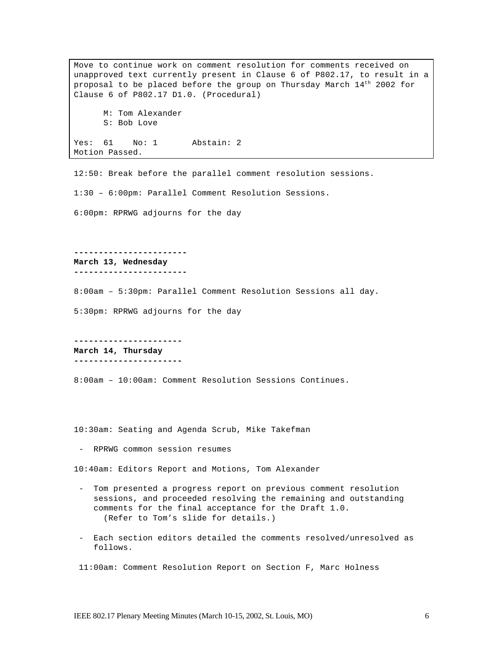Move to continue work on comment resolution for comments received on unapproved text currently present in Clause 6 of P802.17, to result in a proposal to be placed before the group on Thursday March 14th 2002 for Clause 6 of P802.17 D1.0. (Procedural) M: Tom Alexander S: Bob Love Yes: 61 No: 1 Abstain: 2 Motion Passed.

12:50: Break before the parallel comment resolution sessions.

1:30 – 6:00pm: Parallel Comment Resolution Sessions.

6:00pm: RPRWG adjourns for the day

**-----------------------**

**March 13, Wednesday**

**-----------------------**

8:00am – 5:30pm: Parallel Comment Resolution Sessions all day.

5:30pm: RPRWG adjourns for the day

**---------------------- March 14, Thursday ----------------------**

8:00am – 10:00am: Comment Resolution Sessions Continues.

10:30am: Seating and Agenda Scrub, Mike Takefman

- RPRWG common session resumes

10:40am: Editors Report and Motions, Tom Alexander

- Tom presented a progress report on previous comment resolution sessions, and proceeded resolving the remaining and outstanding comments for the final acceptance for the Draft 1.0. (Refer to Tom's slide for details.)
- Each section editors detailed the comments resolved/unresolved as follows.

11:00am: Comment Resolution Report on Section F, Marc Holness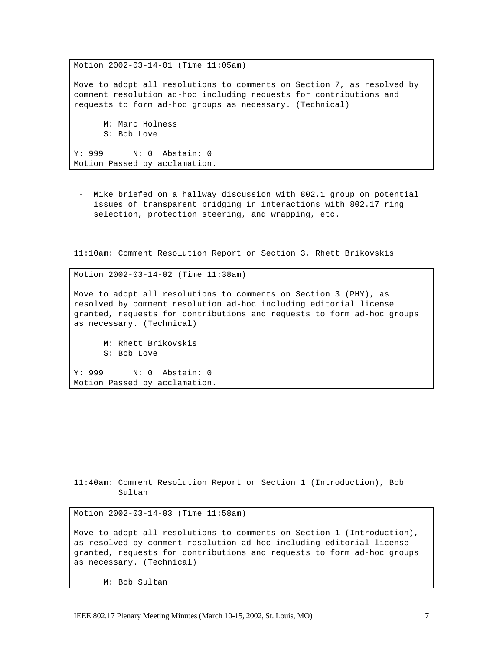Motion 2002-03-14-01 (Time 11:05am) Move to adopt all resolutions to comments on Section 7, as resolved by comment resolution ad-hoc including requests for contributions and requests to form ad-hoc groups as necessary. (Technical) M: Marc Holness S: Bob Love Y: 999 N: 0 Abstain: 0 Motion Passed by acclamation.

- Mike briefed on a hallway discussion with 802.1 group on potential issues of transparent bridging in interactions with 802.17 ring selection, protection steering, and wrapping, etc.

11:10am: Comment Resolution Report on Section 3, Rhett Brikovskis

Motion 2002-03-14-02 (Time 11:38am) Move to adopt all resolutions to comments on Section 3 (PHY), as resolved by comment resolution ad-hoc including editorial license granted, requests for contributions and requests to form ad-hoc groups as necessary. (Technical) M: Rhett Brikovskis S: Bob Love Y: 999 N: 0 Abstain: 0

Motion Passed by acclamation.

11:40am: Comment Resolution Report on Section 1 (Introduction), Bob Sultan

Motion 2002-03-14-03 (Time 11:58am)

Move to adopt all resolutions to comments on Section 1 (Introduction), as resolved by comment resolution ad-hoc including editorial license granted, requests for contributions and requests to form ad-hoc groups as necessary. (Technical)

M: Bob Sultan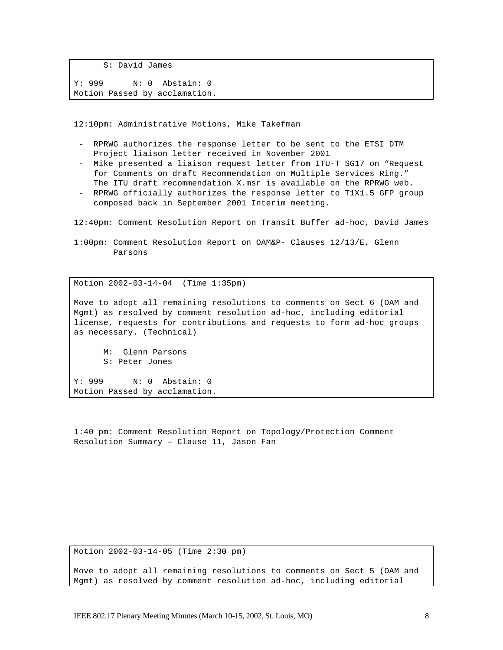S: David James Y: 999 N: 0 Abstain: 0 Motion Passed by acclamation.

12:10pm: Administrative Motions, Mike Takefman

- RPRWG authorizes the response letter to be sent to the ETSI DTM Project liaison letter received in November 2001
- Mike presented a liaison request letter from ITU-T SG17 on "Request for Comments on draft Recommendation on Multiple Services Ring." The ITU draft recommendation X.msr is available on the RPRWG web.
- RPRWG officially authorizes the response letter to T1X1.5 GFP group composed back in September 2001 Interim meeting.

12:40pm: Comment Resolution Report on Transit Buffer ad-hoc, David James

1:00pm: Comment Resolution Report on OAM&P- Clauses 12/13/E, Glenn Parsons

Motion 2002-03-14-04 (Time 1:35pm)

Move to adopt all remaining resolutions to comments on Sect 6 (OAM and Mgmt) as resolved by comment resolution ad-hoc, including editorial license, requests for contributions and requests to form ad-hoc groups as necessary. (Technical)

M: Glenn Parsons S: Peter Jones

Y: 999 N: 0 Abstain: 0 Motion Passed by acclamation.

1:40 pm: Comment Resolution Report on Topology/Protection Comment Resolution Summary – Clause 11, Jason Fan

Motion 2002-03-14-05 (Time 2:30 pm)

Move to adopt all remaining resolutions to comments on Sect 5 (OAM and Mgmt) as resolved by comment resolution ad-hoc, including editorial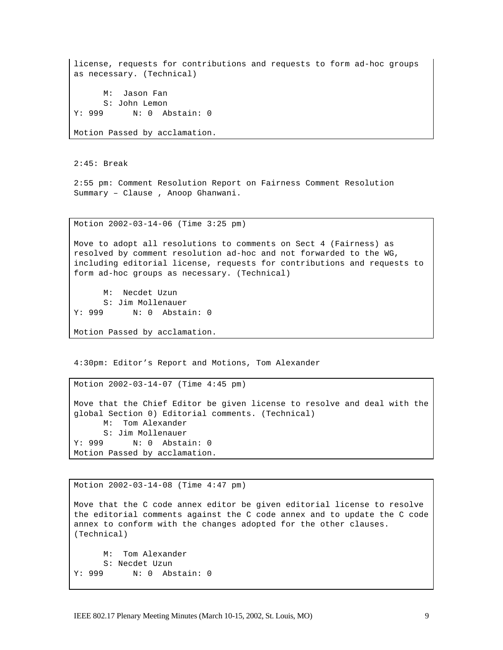license, requests for contributions and requests to form ad-hoc groups as necessary. (Technical) M: Jason Fan S: John Lemon Y: 999 N: 0 Abstain: 0 Motion Passed by acclamation.

2:45: Break

2:55 pm: Comment Resolution Report on Fairness Comment Resolution Summary – Clause , Anoop Ghanwani.

Motion 2002-03-14-06 (Time 3:25 pm)

Move to adopt all resolutions to comments on Sect 4 (Fairness) as resolved by comment resolution ad-hoc and not forwarded to the WG, including editorial license, requests for contributions and requests to form ad-hoc groups as necessary. (Technical)

M: Necdet Uzun S: Jim Mollenauer Y: 999 N: 0 Abstain: 0

Motion Passed by acclamation.

4:30pm: Editor's Report and Motions, Tom Alexander

```
Motion 2002-03-14-07 (Time 4:45 pm)
Move that the Chief Editor be given license to resolve and deal with the 
global Section 0) Editorial comments. (Technical)
     M: Tom Alexander
      S: Jim Mollenauer
Y: 999 N: 0 Abstain: 0
Motion Passed by acclamation.
```
Motion 2002-03-14-08 (Time 4:47 pm) Move that the C code annex editor be given editorial license to resolve the editorial comments against the C code annex and to update the C code annex to conform with the changes adopted for the other clauses. (Technical) M: Tom Alexander S: Necdet Uzun Y: 999 N: 0 Abstain: 0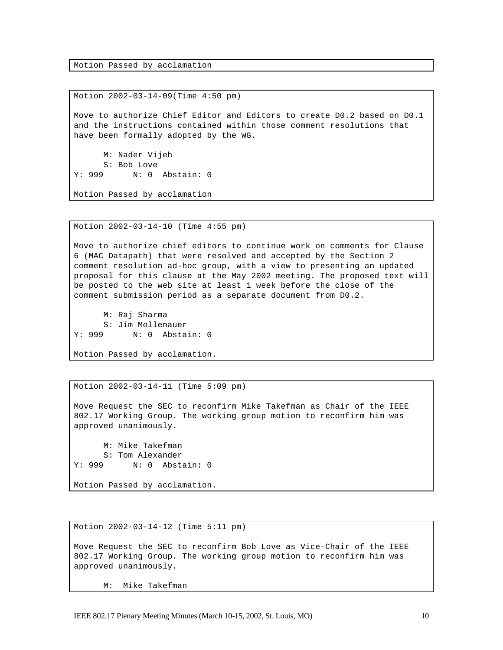Motion Passed by acclamation

Motion 2002-03-14-09(Time 4:50 pm) Move to authorize Chief Editor and Editors to create D0.2 based on D0.1 and the instructions contained within those comment resolutions that have been formally adopted by the WG. M: Nader Vijeh S: Bob Love Y: 999 N: 0 Abstain: 0 Motion Passed by acclamation

Motion 2002-03-14-10 (Time 4:55 pm)

Move to authorize chief editors to continue work on comments for Clause 6 (MAC Datapath) that were resolved and accepted by the Section 2 comment resolution ad-hoc group, with a view to presenting an updated proposal for this clause at the May 2002 meeting. The proposed text will be posted to the web site at least 1 week before the close of the comment submission period as a separate document from D0.2.

M: Raj Sharma S: Jim Mollenauer Y: 999 N: 0 Abstain: 0

Motion Passed by acclamation.

Motion 2002-03-14-11 (Time 5:09 pm)

Move Request the SEC to reconfirm Mike Takefman as Chair of the IEEE 802.17 Working Group. The working group motion to reconfirm him was approved unanimously.

M: Mike Takefman S: Tom Alexander Y: 999 N: 0 Abstain: 0

Motion Passed by acclamation.

Motion 2002-03-14-12 (Time 5:11 pm)

Move Request the SEC to reconfirm Bob Love as Vice-Chair of the IEEE 802.17 Working Group. The working group motion to reconfirm him was approved unanimously.

M: Mike Takefman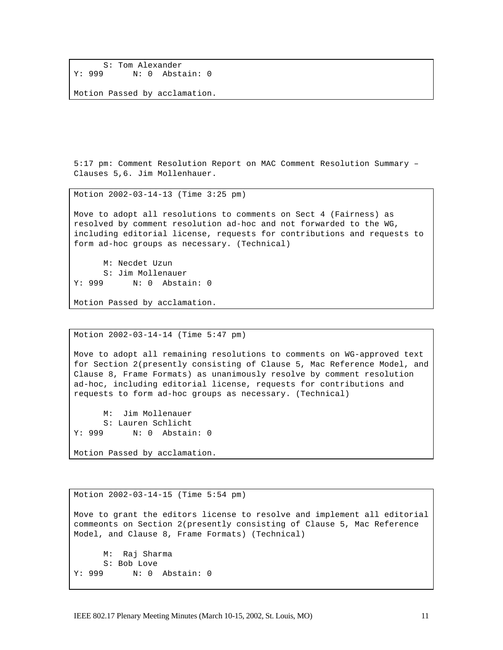```
S: Tom Alexander<br>Y: 999 N: 0 Abst.
               N: 0 Abstain: 0
```
Motion Passed by acclamation.

5:17 pm: Comment Resolution Report on MAC Comment Resolution Summary – Clauses 5,6. Jim Mollenhauer.

Motion 2002-03-14-13 (Time 3:25 pm)

Move to adopt all resolutions to comments on Sect 4 (Fairness) as resolved by comment resolution ad-hoc and not forwarded to the WG, including editorial license, requests for contributions and requests to form ad-hoc groups as necessary. (Technical)

M: Necdet Uzun S: Jim Mollenauer Y: 999 N: 0 Abstain: 0

Motion Passed by acclamation.

Motion 2002-03-14-14 (Time 5:47 pm)

Move to adopt all remaining resolutions to comments on WG-approved text for Section 2(presently consisting of Clause 5, Mac Reference Model, and Clause 8, Frame Formats) as unanimously resolve by comment resolution ad-hoc, including editorial license, requests for contributions and requests to form ad-hoc groups as necessary. (Technical)

M: Jim Mollenauer S: Lauren Schlicht Y: 999 N: 0 Abstain: 0

Motion Passed by acclamation.

Motion 2002-03-14-15 (Time 5:54 pm) Move to grant the editors license to resolve and implement all editorial commeonts on Section 2(presently consisting of Clause 5, Mac Reference Model, and Clause 8, Frame Formats) (Technical) M: Raj Sharma S: Bob Love Y: 999 N: 0 Abstain: 0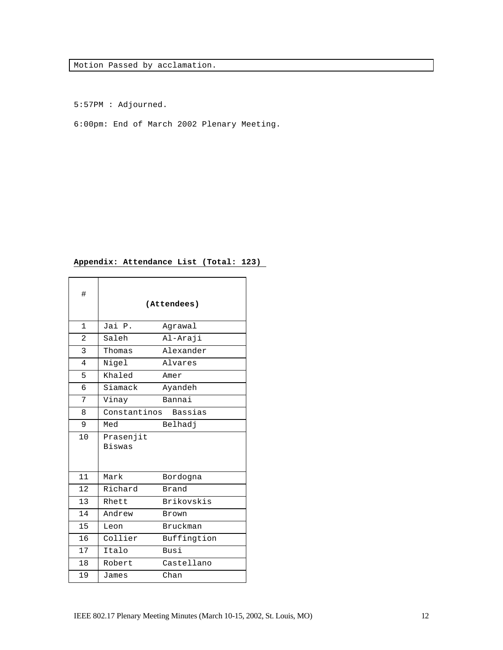Motion Passed by acclamation.

5:57PM : Adjourned.

6:00pm: End of March 2002 Plenary Meeting.

## **Appendix: Attendance List (Total: 123)**

| #            | (Attendees)                |                 |
|--------------|----------------------------|-----------------|
| $\mathbf{1}$ | Jai P.                     | Agrawal         |
| 2            | Saleh                      | Al-Araji        |
| 3            | Thomas                     | Alexander       |
| 4            | Nigel                      | Alvares         |
| 5            | Khaled                     | Amer            |
| 6            | Siamack                    | Ayandeh         |
| 7            | Vinay                      | Bannai          |
| 8            | Constantinos               | <b>Bassias</b>  |
| 9            | Med                        | Belhadj         |
| 10           | Prasenjit<br><b>Biswas</b> |                 |
| 11           | Mark                       | Bordogna        |
| 12           | Richard                    | Brand           |
| 13           | Rhett                      | Brikovskis      |
| 14           | Andrew                     | <b>Brown</b>    |
| 15           | Leon                       | <b>Bruckman</b> |
| 16           | Collier                    | Buffingtion     |
| 17           | Italo                      | Busi            |
|              |                            |                 |
| 18           | Robert                     | Castellano      |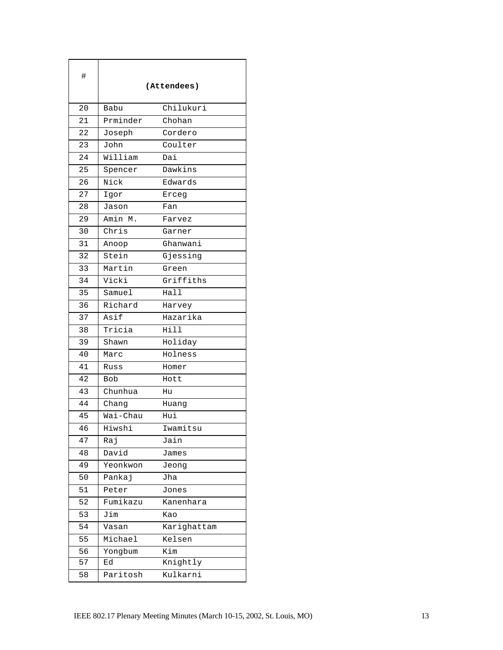| #  | (Attendees) |             |
|----|-------------|-------------|
| 20 | Babu        | Chilukuri   |
| 21 | Prminder    | Chohan      |
| 22 | Joseph      | Cordero     |
| 23 | John        | Coulter     |
| 24 | William     | Dai         |
| 25 | Spencer     | Dawkins     |
| 26 | Nick        | Edwards     |
| 27 | Igor        | Erceg       |
| 28 | Jason       | Fan         |
| 29 | Amin M.     | Farvez      |
| 30 | Chris       | Garner      |
| 31 | Anoop       | Ghanwani    |
| 32 | Stein       | Gjessing    |
| 33 | Martin      | Green       |
| 34 | Vicki       | Griffiths   |
| 35 | Samuel      | Hall        |
| 36 | Richard     | Harvey      |
| 37 | Asif        | Hazarika    |
| 38 | Tricia      | Hill        |
| 39 | Shawn       | Holiday     |
| 40 | Marc        | Holness     |
| 41 | Russ        | Homer       |
| 42 | <b>Bob</b>  | Hott        |
| 43 | Chunhua     | Hu          |
| 44 | Chang       | Huang       |
| 45 | Wai-Chau    | Hui         |
| 46 | Hiwshi      | Iwamitsu    |
| 47 | Raj         | Jain        |
| 48 | David       | James       |
| 49 | Yeonkwon    | Jeong       |
| 50 | Pankaj      | Jha         |
| 51 | Peter       | Jones       |
| 52 | Fumikazu    | Kanenhara   |
| 53 | Jim         | Kao         |
| 54 | Vasan       | Karighattam |
| 55 | Michael     | Kelsen      |
| 56 | Yongbum     | Kim         |
| 57 | Ed          | Knightly    |
| 58 | Paritosh    | Kulkarni    |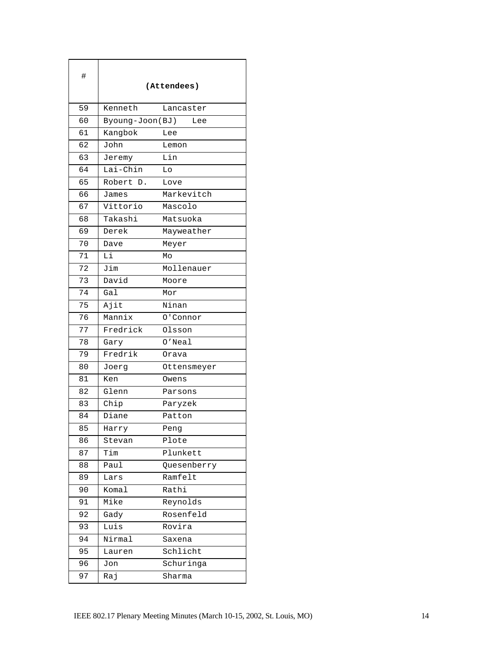| #  | (Attendees)     |             |
|----|-----------------|-------------|
| 59 | Kenneth         | Lancaster   |
| 60 | Byoung-Joon(BJ) | Lee         |
| 61 | Kangbok         | Lee         |
| 62 | John            | Lemon       |
| 63 | Jeremy          | Lin         |
| 64 | Lai-Chin        | Lo          |
| 65 | Robert D.       | Love        |
| 66 | James           | Markevitch  |
| 67 | Vittorio        | Mascolo     |
| 68 | Takashi         | Matsuoka    |
| 69 | Derek           | Mayweather  |
| 70 | Dave            | Meyer       |
| 71 | Li              | Mo          |
| 72 | Jim             | Mollenauer  |
| 73 | David           | Moore       |
| 74 | Gal             | Mor         |
| 75 | Ajit            | Ninan       |
| 76 | Mannix          | 0'Connor    |
| 77 | Fredrick        | Olsson      |
| 78 | Gary            | $0'$ Neal   |
| 79 | Fredrik         | Orava       |
| 80 | Joerg           | Ottensmeyer |
| 81 | Ken             | Owens       |
| 82 | Glenn           | Parsons     |
| 83 | Chip            | Paryzek     |
| 84 | Diane           | Patton      |
| 85 | Harry           | Peng        |
| 86 | Stevan          | Plote       |
| 87 | Tim             | Plunkett    |
| 88 | Paul            | Quesenberry |
| 89 | Lars            | Ramfelt     |
| 90 | Komal           | Rathi       |
| 91 | Mike            | Reynolds    |
| 92 | Gady            | Rosenfeld   |
| 93 | Luis            | Rovira      |
| 94 | Nirmal          | Saxena      |
| 95 | Lauren          | Schlicht    |
| 96 | Jon             | Schuringa   |
| 97 | Raj             | Sharma      |